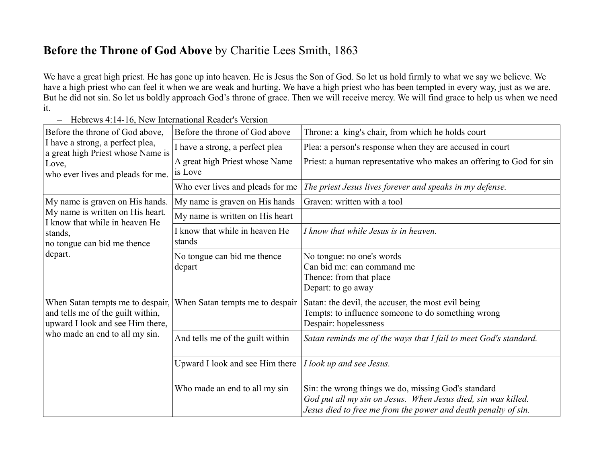## **Before the Throne of God Above** by Charitie Lees Smith, 1863

We have a great high priest. He has gone up into heaven. He is Jesus the Son of God. So let us hold firmly to what we say we believe. We have a high priest who can feel it when we are weak and hurting. We have a high priest who has been tempted in every way, just as we are. But he did not sin. So let us boldly approach God's throne of grace. Then we will receive mercy. We will find grace to help us when we need it.

– Hebrews 4:14-16, New International Reader's Version

| Before the throne of God above,<br>I have a strong, a perfect plea,<br>a great high Priest whose Name is<br>Love,<br>who ever lives and pleads for me.     | Before the throne of God above            | Throne: a king's chair, from which he holds court                                                                                                                                      |
|------------------------------------------------------------------------------------------------------------------------------------------------------------|-------------------------------------------|----------------------------------------------------------------------------------------------------------------------------------------------------------------------------------------|
|                                                                                                                                                            | I have a strong, a perfect plea           | Plea: a person's response when they are accused in court                                                                                                                               |
|                                                                                                                                                            | A great high Priest whose Name<br>is Love | Priest: a human representative who makes an offering to God for sin                                                                                                                    |
|                                                                                                                                                            | Who ever lives and pleads for me          | The priest Jesus lives forever and speaks in my defense.                                                                                                                               |
| My name is graven on His hands.<br>My name is written on His heart.<br>I know that while in heaven He<br>stands,<br>no tongue can bid me thence<br>depart. | My name is graven on His hands            | Graven: written with a tool                                                                                                                                                            |
|                                                                                                                                                            | My name is written on His heart           |                                                                                                                                                                                        |
|                                                                                                                                                            | I know that while in heaven He<br>stands  | I know that while Jesus is in heaven.                                                                                                                                                  |
|                                                                                                                                                            | No tongue can bid me thence<br>depart     | No tongue: no one's words<br>Can bid me: can command me<br>Thence: from that place<br>Depart: to go away                                                                               |
| When Satan tempts me to despair,<br>and tells me of the guilt within,<br>upward I look and see Him there,<br>who made an end to all my sin.                | When Satan tempts me to despair           | Satan: the devil, the accuser, the most evil being<br>Tempts: to influence someone to do something wrong<br>Despair: hopelessness                                                      |
|                                                                                                                                                            | And tells me of the guilt within          | Satan reminds me of the ways that I fail to meet God's standard.                                                                                                                       |
|                                                                                                                                                            | Upward I look and see Him there           | I look up and see Jesus.                                                                                                                                                               |
|                                                                                                                                                            | Who made an end to all my sin             | Sin: the wrong things we do, missing God's standard<br>God put all my sin on Jesus. When Jesus died, sin was killed.<br>Jesus died to free me from the power and death penalty of sin. |